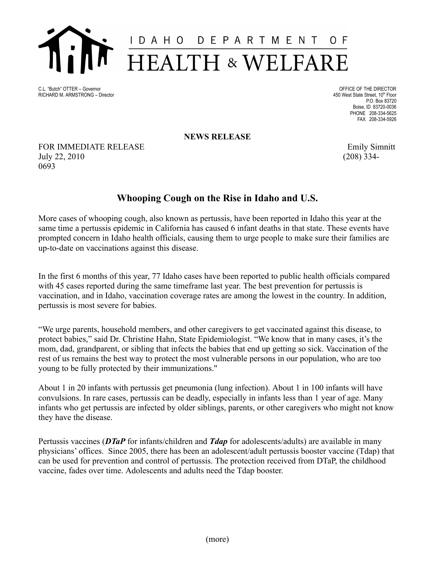

C.L. "Butch" OTTER – Governor Company of the DIRECTOR CLEAR COMPANY OFFICE OF THE DIRECTOR RICHARD M. ARMSTRONG - Director

<sup>th</sup> Floor P.O. Box 83720 Boise, ID 83720-0036 PHONE 208-334-5625 FAX 208-334-5926

**NEWS RELEASE**

FOR IMMEDIATE RELEASE Emily Simnitt July 22, 2010 (208) 334- 0693

## **Whooping Cough on the Rise in Idaho and U.S.**

More cases of whooping cough, also known as pertussis, have been reported in Idaho this year at the same time a pertussis epidemic in California has caused 6 infant deaths in that state. These events have prompted concern in Idaho health officials, causing them to urge people to make sure their families are up-to-date on vaccinations against this disease.

In the first 6 months of this year, 77 Idaho cases have been reported to public health officials compared with 45 cases reported during the same timeframe last year. The best prevention for pertussis is vaccination, and in Idaho, vaccination coverage rates are among the lowest in the country. In addition, pertussis is most severe for babies.

"We urge parents, household members, and other caregivers to get vaccinated against this disease, to protect babies," said Dr. Christine Hahn, State Epidemiologist. "We know that in many cases, it's the mom, dad, grandparent, or sibling that infects the babies that end up getting so sick. Vaccination of the rest of us remains the best way to protect the most vulnerable persons in our population, who are too young to be fully protected by their immunizations."

About 1 in 20 infants with pertussis get pneumonia (lung infection). About 1 in 100 infants will have convulsions. In rare cases, pertussis can be deadly, especially in infants less than 1 year of age. Many infants who get pertussis are infected by older siblings, parents, or other caregivers who might not know they have the disease.

Pertussis vaccines (*DTaP* for infants/children and *Tdap* for adolescents/adults) are available in many physicians' offices. Since 2005, there has been an adolescent/adult pertussis booster vaccine (Tdap) that can be used for prevention and control of pertussis. The protection received from DTaP, the childhood vaccine, fades over time. Adolescents and adults need the Tdap booster.